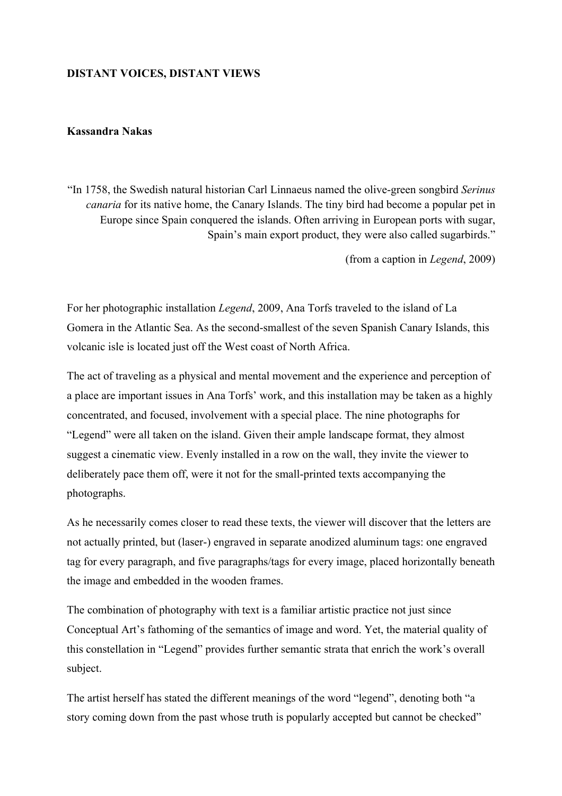## **DISTANT VOICES, DISTANT VIEWS**

## **Kassandra Nakas**

"In 1758, the Swedish natural historian Carl Linnaeus named the olive-green songbird *Serinus canaria* for its native home, the Canary Islands. The tiny bird had become a popular pet in Europe since Spain conquered the islands. Often arriving in European ports with sugar, Spain's main export product, they were also called sugarbirds."

(from a caption in *Legend*, 2009)

For her photographic installation *Legend*, 2009, Ana Torfs traveled to the island of La Gomera in the Atlantic Sea. As the second-smallest of the seven Spanish Canary Islands, this volcanic isle is located just off the West coast of North Africa.

The act of traveling as a physical and mental movement and the experience and perception of a place are important issues in Ana Torfs' work, and this installation may be taken as a highly concentrated, and focused, involvement with a special place. The nine photographs for "Legend" were all taken on the island. Given their ample landscape format, they almost suggest a cinematic view. Evenly installed in a row on the wall, they invite the viewer to deliberately pace them off, were it not for the small-printed texts accompanying the photographs.

As he necessarily comes closer to read these texts, the viewer will discover that the letters are not actually printed, but (laser-) engraved in separate anodized aluminum tags: one engraved tag for every paragraph, and five paragraphs/tags for every image, placed horizontally beneath the image and embedded in the wooden frames.

The combination of photography with text is a familiar artistic practice not just since Conceptual Art's fathoming of the semantics of image and word. Yet, the material quality of this constellation in "Legend" provides further semantic strata that enrich the work's overall subject.

The artist herself has stated the different meanings of the word "legend", denoting both "a story coming down from the past whose truth is popularly accepted but cannot be checked"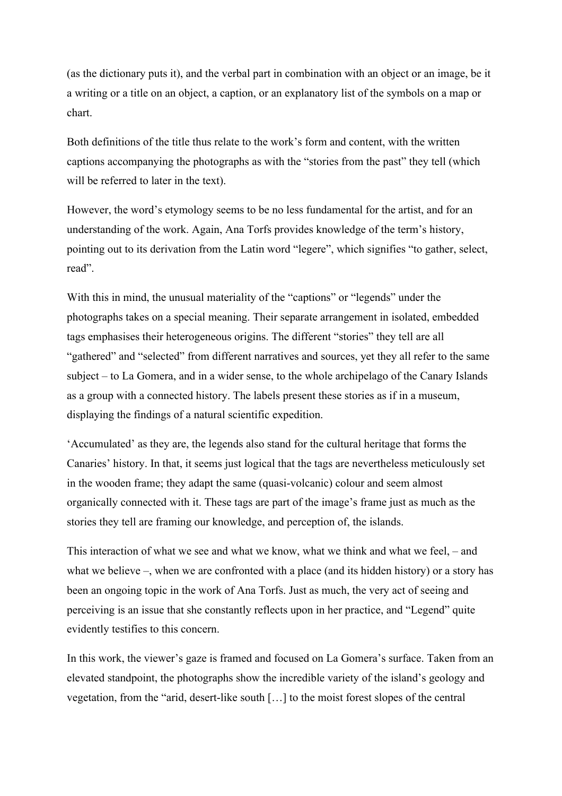(as the dictionary puts it), and the verbal part in combination with an object or an image, be it a writing or a title on an object, a caption, or an explanatory list of the symbols on a map or chart.

Both definitions of the title thus relate to the work's form and content, with the written captions accompanying the photographs as with the "stories from the past" they tell (which will be referred to later in the text).

However, the word's etymology seems to be no less fundamental for the artist, and for an understanding of the work. Again, Ana Torfs provides knowledge of the term's history, pointing out to its derivation from the Latin word "legere", which signifies "to gather, select, read".

With this in mind, the unusual materiality of the "captions" or "legends" under the photographs takes on a special meaning. Their separate arrangement in isolated, embedded tags emphasises their heterogeneous origins. The different "stories" they tell are all "gathered" and "selected" from different narratives and sources, yet they all refer to the same subject – to La Gomera, and in a wider sense, to the whole archipelago of the Canary Islands as a group with a connected history. The labels present these stories as if in a museum, displaying the findings of a natural scientific expedition.

'Accumulated' as they are, the legends also stand for the cultural heritage that forms the Canaries' history. In that, it seems just logical that the tags are nevertheless meticulously set in the wooden frame; they adapt the same (quasi-volcanic) colour and seem almost organically connected with it. These tags are part of the image's frame just as much as the stories they tell are framing our knowledge, and perception of, the islands.

This interaction of what we see and what we know, what we think and what we feel, – and what we believe –, when we are confronted with a place (and its hidden history) or a story has been an ongoing topic in the work of Ana Torfs. Just as much, the very act of seeing and perceiving is an issue that she constantly reflects upon in her practice, and "Legend" quite evidently testifies to this concern.

In this work, the viewer's gaze is framed and focused on La Gomera's surface. Taken from an elevated standpoint, the photographs show the incredible variety of the island's geology and vegetation, from the "arid, desert-like south […] to the moist forest slopes of the central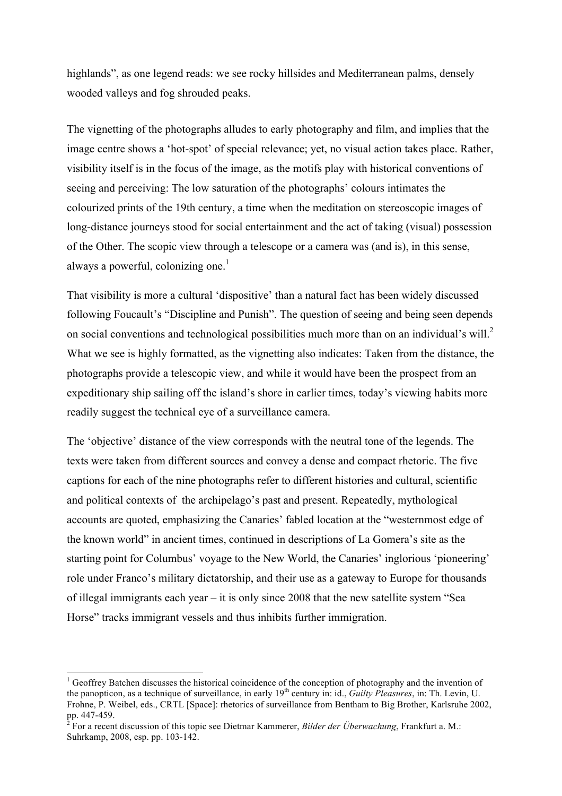highlands", as one legend reads: we see rocky hillsides and Mediterranean palms, densely wooded valleys and fog shrouded peaks.

The vignetting of the photographs alludes to early photography and film, and implies that the image centre shows a 'hot-spot' of special relevance; yet, no visual action takes place. Rather, visibility itself is in the focus of the image, as the motifs play with historical conventions of seeing and perceiving: The low saturation of the photographs' colours intimates the colourized prints of the 19th century, a time when the meditation on stereoscopic images of long-distance journeys stood for social entertainment and the act of taking (visual) possession of the Other. The scopic view through a telescope or a camera was (and is), in this sense, always a powerful, colonizing one. $<sup>1</sup>$ </sup>

That visibility is more a cultural 'dispositive' than a natural fact has been widely discussed following Foucault's "Discipline and Punish". The question of seeing and being seen depends on social conventions and technological possibilities much more than on an individual's will.<sup>2</sup> What we see is highly formatted, as the vignetting also indicates: Taken from the distance, the photographs provide a telescopic view, and while it would have been the prospect from an expeditionary ship sailing off the island's shore in earlier times, today's viewing habits more readily suggest the technical eye of a surveillance camera.

The 'objective' distance of the view corresponds with the neutral tone of the legends. The texts were taken from different sources and convey a dense and compact rhetoric. The five captions for each of the nine photographs refer to different histories and cultural, scientific and political contexts of the archipelago's past and present. Repeatedly, mythological accounts are quoted, emphasizing the Canaries' fabled location at the "westernmost edge of the known world" in ancient times, continued in descriptions of La Gomera's site as the starting point for Columbus' voyage to the New World, the Canaries' inglorious 'pioneering' role under Franco's military dictatorship, and their use as a gateway to Europe for thousands of illegal immigrants each year – it is only since 2008 that the new satellite system "Sea Horse" tracks immigrant vessels and thus inhibits further immigration.

 $\frac{1}{1}$  $<sup>1</sup>$  Geoffrey Batchen discusses the historical coincidence of the conception of photography and the invention of</sup> the panopticon, as a technique of surveillance, in early 19<sup>th</sup> century in: id., *Guilty Pleasures*, in: Th. Levin, U. Frohne, P. Weibel, eds., CRTL [Space]: rhetorics of surveillance from Bentham to Big Brother, Karlsruhe 2002, pp. 447-459. <sup>2</sup>

<sup>&</sup>lt;sup>2</sup> For a recent discussion of this topic see Dietmar Kammerer, *Bilder der Überwachung*, Frankfurt a. M.: Suhrkamp, 2008, esp. pp. 103-142.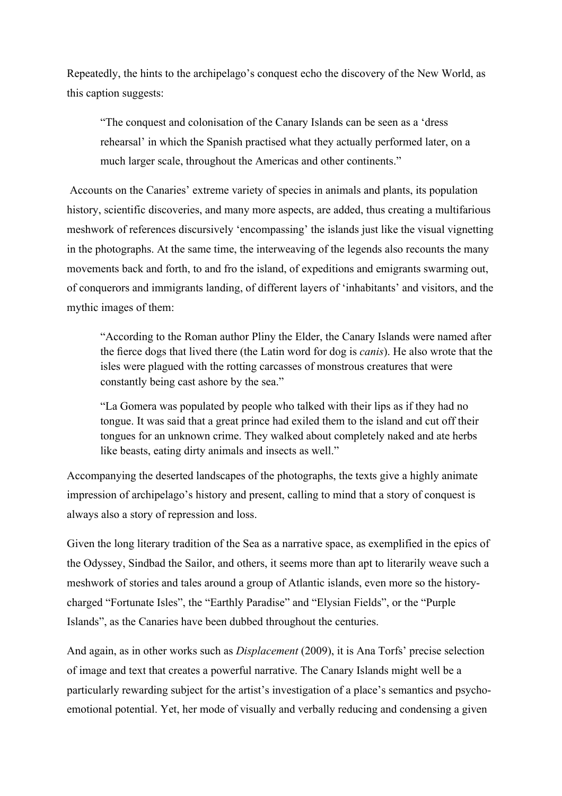Repeatedly, the hints to the archipelago's conquest echo the discovery of the New World, as this caption suggests:

"The conquest and colonisation of the Canary Islands can be seen as a 'dress rehearsal' in which the Spanish practised what they actually performed later, on a much larger scale, throughout the Americas and other continents."

Accounts on the Canaries' extreme variety of species in animals and plants, its population history, scientific discoveries, and many more aspects, are added, thus creating a multifarious meshwork of references discursively 'encompassing' the islands just like the visual vignetting in the photographs. At the same time, the interweaving of the legends also recounts the many movements back and forth, to and fro the island, of expeditions and emigrants swarming out, of conquerors and immigrants landing, of different layers of 'inhabitants' and visitors, and the mythic images of them:

"According to the Roman author Pliny the Elder, the Canary Islands were named after the fierce dogs that lived there (the Latin word for dog is *canis*). He also wrote that the isles were plagued with the rotting carcasses of monstrous creatures that were constantly being cast ashore by the sea."

"La Gomera was populated by people who talked with their lips as if they had no tongue. It was said that a great prince had exiled them to the island and cut off their tongues for an unknown crime. They walked about completely naked and ate herbs like beasts, eating dirty animals and insects as well."

Accompanying the deserted landscapes of the photographs, the texts give a highly animate impression of archipelago's history and present, calling to mind that a story of conquest is always also a story of repression and loss.

Given the long literary tradition of the Sea as a narrative space, as exemplified in the epics of the Odyssey, Sindbad the Sailor, and others, it seems more than apt to literarily weave such a meshwork of stories and tales around a group of Atlantic islands, even more so the historycharged "Fortunate Isles", the "Earthly Paradise" and "Elysian Fields", or the "Purple Islands", as the Canaries have been dubbed throughout the centuries.

And again, as in other works such as *Displacement* (2009), it is Ana Torfs' precise selection of image and text that creates a powerful narrative. The Canary Islands might well be a particularly rewarding subject for the artist's investigation of a place's semantics and psychoemotional potential. Yet, her mode of visually and verbally reducing and condensing a given